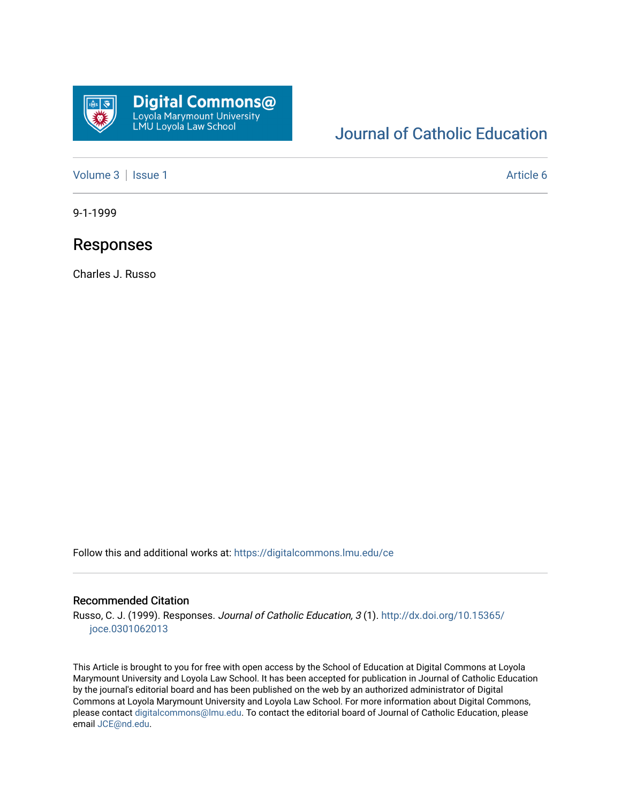

## [Journal of Catholic Education](https://digitalcommons.lmu.edu/ce)

[Volume 3](https://digitalcommons.lmu.edu/ce/vol3) | [Issue 1](https://digitalcommons.lmu.edu/ce/vol3/iss1) Article 6

9-1-1999

### Responses

Charles J. Russo

Follow this and additional works at: [https://digitalcommons.lmu.edu/ce](https://digitalcommons.lmu.edu/ce?utm_source=digitalcommons.lmu.edu%2Fce%2Fvol3%2Fiss1%2F6&utm_medium=PDF&utm_campaign=PDFCoverPages)

#### Recommended Citation

Russo, C. J. (1999). Responses. Journal of Catholic Education, 3 (1). [http://dx.doi.org/10.15365/](http://dx.doi.org/10.15365/joce.0301062013) [joce.0301062013](http://dx.doi.org/10.15365/joce.0301062013) 

This Article is brought to you for free with open access by the School of Education at Digital Commons at Loyola Marymount University and Loyola Law School. It has been accepted for publication in Journal of Catholic Education by the journal's editorial board and has been published on the web by an authorized administrator of Digital Commons at Loyola Marymount University and Loyola Law School. For more information about Digital Commons, please contact [digitalcommons@lmu.edu](mailto:digitalcommons@lmu.edu). To contact the editorial board of Journal of Catholic Education, please email [JCE@nd.edu](mailto:JCE@nd.edu).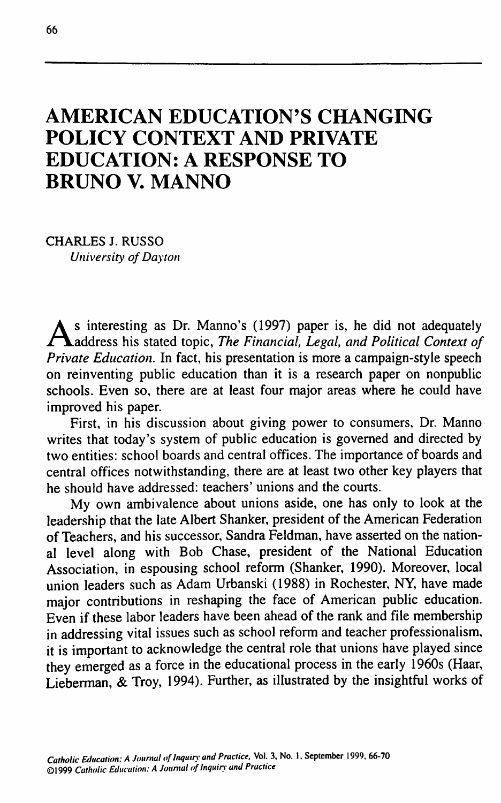# **AMERICAN EDUCATION'S CHANGING POLICY CONTEXT AND PRIVATE EDUCATION: A RESPONSE TO BRUNO V. MANNO**

**CHARLES J. RUSSO** *University of Dayton*

As interesting as Dr. Manno's (1997) paper is, he did not adequately<br>Aaddress his stated topic, The Financial, Legal, and Political Context of **address his stated topic.** *The Financial, Legal, and Political Context of Private Education.* **In fact, his presentation is more a campaign-style speech on reinventing public education than it is a research paper on nonpublic schools. Even so, there are at least four major areas where he could have improved his paper.**

**First, in his discussion about giving power to consumers. Dr. Manno writes that today's system of public education is governed and directed by two entities: school boards and central offices. The importance of boards and central offices notwithstanding, there are at least two other key players that he should have addressed: teachers' unions and the courts.**

**My own ambivalence about unions aside, one has only to look at the leadership that the late Albert Shanker, president of the American Federation of Teachers, and his successor, Sandra Feldman, have asserted on the national level along with Bob Chase, president of the National Education Association, in espousing school reform (Shanker, 1990). Moreover, local union leaders such as Adam Urbanski (1988) in Rochester, NY, have made major contributions in reshaping the face of American public education. Even if these labor leaders have been ahead of the rank and file membership in addressing vital issues such as school reform and teacher professionalism, it is important to acknowledge the central role that unions have played since they emerged as a force in the educational process in the early 1960s (Haar, Lieberman, & Troy, 1994). Further, as illustrated by the insightful works of**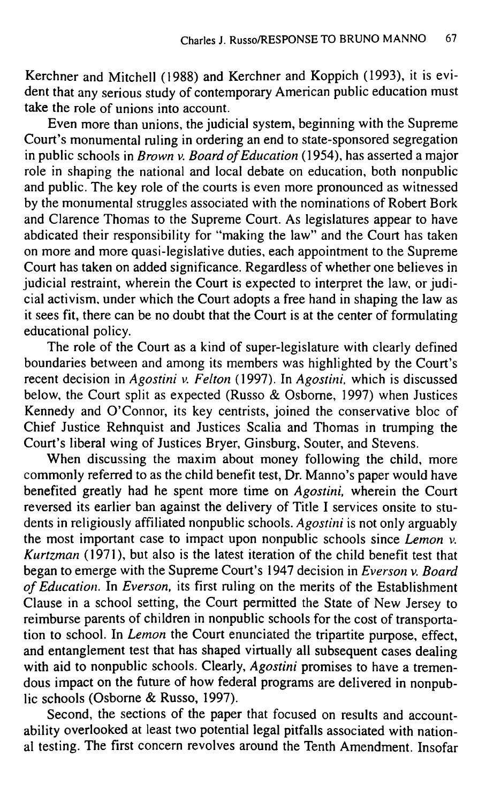**Kerchner and Mitchell (1988) and Kerchner and Koppich (1993), it is evident that any serious study of contemporary American public education must take the role of unions into account.**

**Even more than unions, the judicial system, beginning with the Supreme Court's monumental ruling in ordering an end to state-sponsored segregation in public schools in** *Brown* **v.** *Board of Education* **(1954), has asserted a major role in shaping the national and local debate on education, both nonpublic and public. The key role of the courts is even more pronounced as witnessed by the monumental struggles associated with the nominations of Robert Bork and Clarence Thomas to the Supreme Court. As legislatures appear to have abdicated their responsibility for "making the law" and the Court has taken on more and more quasi-legislative duties, each appointment to the Supreme Court has taken on added significance. Regardless of whether one believes in judicial restraint, wherein the Court is expected to interpret the law, or judicial activism, under which the Court adopts a free hand in shaping the law as it sees fit, there can be no doubt that the Court is at the center of formulating educational policy.**

**The role of the Court as a kind of super-legislature with clearly defined boundaries between and among its members was highlighted by the Court's recent decision in** *Agostini* **v.** *Felton* **(1997). In** *Agostini.* **which is discussed below, the Court split as expected (Russo & Osbome, 1997) when Justices Kennedy and O'Connor, its key centrists, joined the conservative bloc of Chief Justice Rehnquist and Justices Scalia and Thomas in trumping the Court's liberal wing of Justices Bryer, Ginsburg, Souter, and Stevens.**

**When discussing the maxim about money following the child, more commonly referred to as the child benefit test. Dr. Manno's paper would have benefited greatly had he spent more time on** *Agostini,* **wherein the Court reversed its earlier ban against the delivery of Title I services onsite to students in religiously affiliated nonpublic schools.** *Agostini* **is not only arguably the most important case to impact upon nonpublic schools since** *Lemon v. Kurtzman* **(1971), but also is the latest iteration of the child benefit test that began to emerge with the Supreme Court's 1947 decision in** *Everson* **v.** *Board of Education.* **In** *Everson,* **its first ruling on the merits of the Establishment Clause in a school setting, the Court permitted the State of New Jersey to reimburse parents of children in nonpublic schools for the cost of transportation to school. In** *Lemon* **the Court enunciated the tripartite purpose, effect, and entanglement test that has shaped virtually all subsequent cases dealing with aid to nonpublic schools. Clearly,** *Agostini* **promises to have a tremendous impact on the future of how federal programs are delivered in nonpublic schools (Osborne & Russo, 1997).**

**Second, the sections of the paper that focused on results and accountability overlooked at least two potential legal pitfalls associated with national testing. The first concern revolves around the Tenth Amendment. Insofar**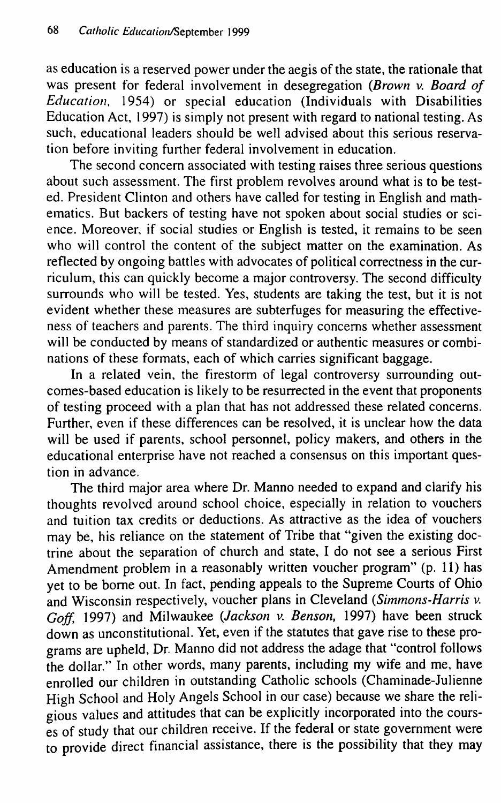**as education is a reserved power under the aegis of the state, the rationale that was present for federal involvement in desegregation** *(Brown* **v.** *Board of Education,* **1954) or special education (Individuals with Disabilities Education Act, 1997) is simply not present with regard to national testing. As such, educational leaders should be well advised about this serious reservation before inviting further federal involvement in education.**

**The second concern associated with testing raises three serious questions about such assessment. The first problem revolves around what is to be tested. President Clinton and others have called for testing in English and mathematics. But backers of testing have not spoken about social studies or science. Moreover, if social studies or English is tested, it remains to be seen who will control the content of the subject matter on the examination. As reflected by ongoing battles with advocates of political correctness in the curriculum, this can quickly become a major controversy. The second difficulty surrounds who will be tested. Yes, students are taking the test, but it is not evident whether these measures are subterfuges for measuring the effectiveness of teachers and parents. The third inquiry concerns whether assessment** will be conducted by means of standardized or authentic measures or combi**nations of these formats, each of which carries significant baggage.**

**In a related vein, the firestorm of legal controversy surrounding outcomes-based education is likely to be resurrected in the event that proponents of testing proceed with a plan that has not addressed these related concerns. Further, even if these differences can be resolved, it is unclear how the data will be used if parents, school personnel, policy makers, and others in the educational enterprise have not reached a consensus on this important question in advance.**

**The third major area where Dr. Manno needed to expand and clarify his thoughts revolved around school choice, especially in relation to vouchers and tuition tax credits or deductions. As attractive as the idea of vouchers may be, his reliance on the statement of Tribe that "given the existing doctrine about the separation of church and state, I do not see a serious First Amendment problem in a reasonably written voucher program" (p. 11) has yet to be borne out. In fact, pending appeals to the Supreme Courts of Ohio and Wisconsin respectively, voucher plans in Cleveland** *(Simmons-Harris* **v.** *Goff,* **1997) and Milwaukee** *(Jackson* **v.** *Benson,* **1997) have been struck down as unconstitutional. Yet, even if the statutes that gave rise to these programs are upheld. Dr. Manno did not address the adage that "control follows the dollar." In other words, many parents, including my wife and me, have enrolled our children in outstanding Catholic schools (Chaminade-Julienne High School and Holy Angels School in our case) because we share the religious values and attitudes that can be explicitly incorporated into the courses of study that our children receive. If the federal or state government were to provide direct financial assistance, there is the possibility that they may**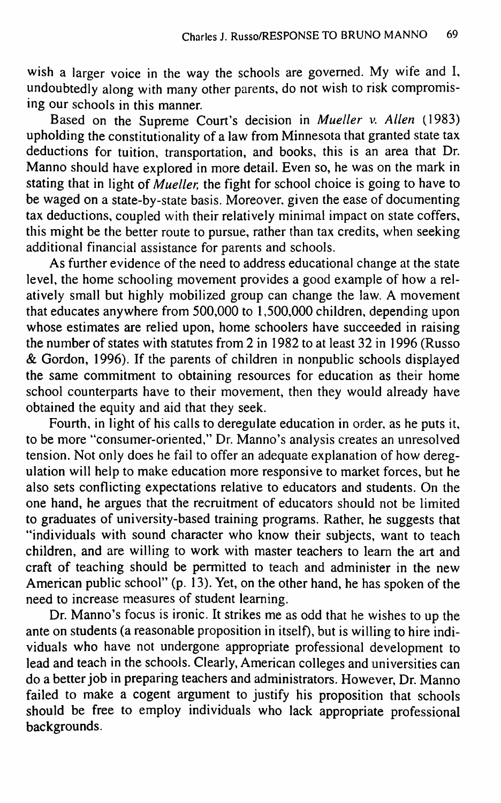**wish a larger voice in the way the schools are governed. My wife and I, undoubtedly along with many other parents, do not wish to risk compromising our schools in this manner.**

**Based on the Supreme Court's decision in** *Mueller* **v.** *Allen* **(1983) upholding the constitutionality of a law from Minnesota that granted state tax deductions for tuition, transportation, and books, this is an area that Dr. Manno should have explored in more detail. Even so, he was on the mark in stating that in light** *of Mueller,* **the fight for school choice is going to have to be waged on a state-by-state basis. Moreover, given the ease of documenting tax deductions, coupled with their relatively minimal impact on state coffers, this might be the better route to pursue, rather than tax credits, when seeking additional financial assistance for parents and schools.**

**As further evidence of the need to address educational change at the state level, the home schooling movement provides a good example of how a relatively small but highly mobilized group can change the law. A movement that educates anywhere from 500,000 to 1,500,000 children, depending upon whose estimates are relied upon, home schoolers have succeeded in raising the number of states with statutes from 2 in 1982 to at least 32 in 1996 (Russo & Gordon, 1996). If the parents of children in nonpublic schools displayed the same commitment to obtaining resources for education as their home school counterparts have to their movement, then they would already have obtained the equity and aid that they seek.**

**Fourth, in light of his calls to deregulate education in order, as he puts it, to be more "consumer-oriented," Dr. Manno's analysis creates an unresolved tension. Not only does he fail to offer an adequate explanation of how deregulation will help to make education more responsive to market forces, but he also sets conflicting expectations relative to educators and students. On the one hand, he argues that the recruitment of educators should not be limited to graduates of university-based training programs. Rather, he suggests that "individuals with sound character who know their subjects, want to teach children, and are willing to work with master teachers to learn the art and craft of teaching should be permitted to teach and administer in the new American public school" (p. 13). Yet, on the other hand, he has spoken of the need to increase measures of student learning.**

**Dr. Manno's focus is ironic. It strikes me as odd that he wishes to up the ante on students (a reasonable proposition in itself), but is willing to hire individuals who have not undergone appropriate professional development to lead and teach in the schools. Clearly, American colleges and universities can do a better job in preparing teachers and administrators. However, Dr. Manno failed to make a cogent argument to justify his proposition that schools should be free to employ individuals who lack appropriate professional backgrounds.**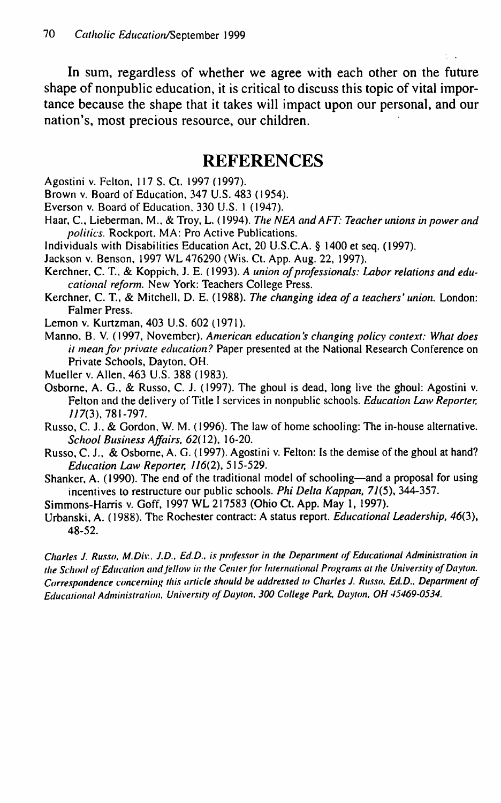**In sum, regardless of whether we agree with each other on the future shape of nonpublic education, it is critical to discuss this topic of vital importance because the shape that it takes will impact upon our personal, and our nation's, most precious resource, our children.**

## **REFERENCES**

- Agostini v. Felton. 117 S. Ct. 1997 (1997).
- Brown v. Board of Education. 347 U.S. 483 (1954).
- Everson v. Board of Education, 330 U.S. 1 (1947).
- Haar, C, Lieberman, M., & Troy, L. (1994). *The NEA and AFT: Teacher unions in power and politics.* Rockport, MA: Pro Active Publications.
- Individuals with Disabilities Education Act, 20 U.S.C.A. § 1400 et seq. (1997).
- Jackson v. Benson, 1997 WL 476290 (Wis. Ct. App. Aug. 22, 1997).
- Kerchner, C. T.. & Koppich, J. E. (1993). *A union of professionals: Labor relations and educational reform.* New York: Teachers College Press.
- Kerchner, C. T, & Mitchell, D. E. (1988). *The changing idea of a teachers' union.* London: Falmer Press.
- Lemon v. Kurtzman, 403 U.S. 602 (1971).
- Manno, B. V. (1997, November). *American education's changing policy context: What does it mean for private education?* Paper presented at the National Research Conference on Private Schools, Dayton, OH.
- Mueller v. Allen, 463 U.S. 388 (1983).
- Osborne, A. G., & Russo, C. J. (1997). The ghoul is dead, long live the ghoul: Agostini v. Felton and the delivery of Title I services in nonpublic schools. *Education Law Reporter,* 777(3), 781-797.
- Russo, C. J.. & Gordon. W. M. (1996). The law of home schooling: The in-house alternative. *School Business Affairs, 62{* 12), 16-20.
- Russo, C. J., & Osborne, A. G. (1997). Agostini v. Felton: Is the demise of the ghoul at hand? *Education Law Reporter.* 776(2), 515-529.
- Shanker, A. (1990). The end of the traditional model of schooling—and a proposal for using incentives to restructure our public schools. *Phi Delta Kappan,* 77(5), 344-357.
- Simmons-Harris v. Goff, 1997 WL 217583 (Ohio Ct. App. May 1, 1997).
- Urbanski, A. (1988). The Rochester contract: A status report. *Educational Leadership, 460),* 48-52.

*Charles J. Rus.w, M.Diw. J.D., Ed.D.. is professor in the Department of Educational Administration in the School of Education and fellow in the Center for fnternational Programs at the University of Dayton.* Correspondence concerning this article should be addressed to Charles J. Russo, Ed.D., Department of *Educational Administration. University of Dayton, 300 College Park, Dayton, OH 45469-0534.*